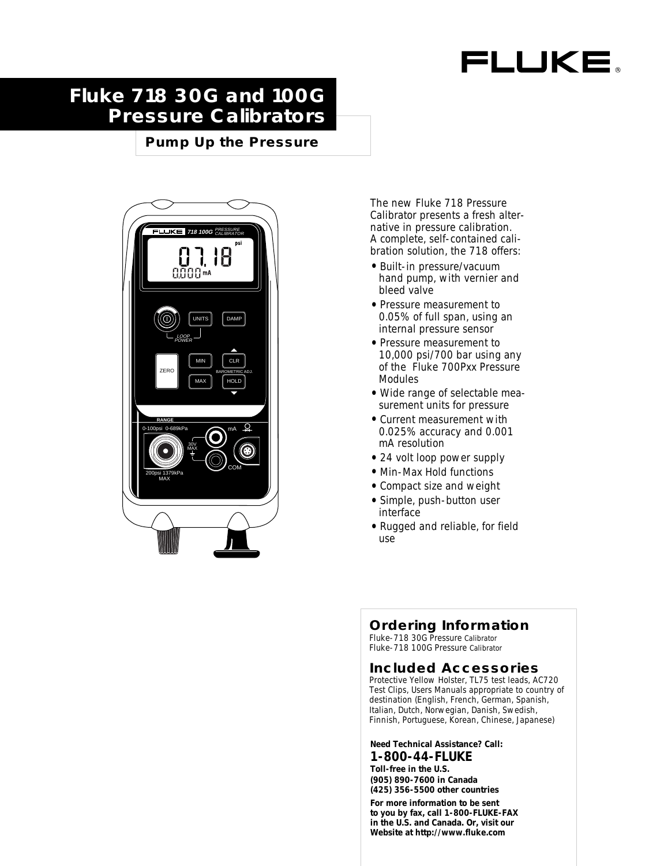# FLUKE

## **Fluke 718 30G and 100G Pressure Calibrators**

**Pump Up the Pressure**



The new Fluke 718 Pressure Calibrator presents a fresh alternative in pressure calibration. A complete, self-contained calibration solution, the 718 offers:

- Built-in pressure/vacuum hand pump, with vernier and bleed valve
- Pressure measurement to 0.05% of full span, using an internal pressure sensor
- Pressure measurement to 10,000 psi/700 bar using any of the Fluke 700Pxx Pressure Modules
- Wide range of selectable measurement units for pressure
- Current measurement with 0.025% accuracy and 0.001 mA resolution
- 24 volt loop power supply
- Min-Max Hold functions
- Compact size and weight
- Simple, push-button user interface
- Rugged and reliable, for field use

## **Ordering Information**

Fluke-718 30G Pressure Calibrator Fluke-718 100G Pressure Calibrator

#### **Included Accessories**

Protective Yellow Holster, TL75 test leads, AC720 Test Clips, Users Manuals appropriate to country of destination (English, French, German, Spanish, Italian, Dutch, Norwegian, Danish, Swedish, Finnish, Portuguese, Korean, Chinese, Japanese)

**Need Technical Assistance? Call:**

**1-800-44-FLUKE Toll-free in the U.S. (905) 890-7600 in Canada (425) 356-5500 other countries**

**For more information to be sent to you by fax, call 1-800-FLUKE-FAX in the U.S. and Canada. Or, visit our Website at http://www.fluke.com**